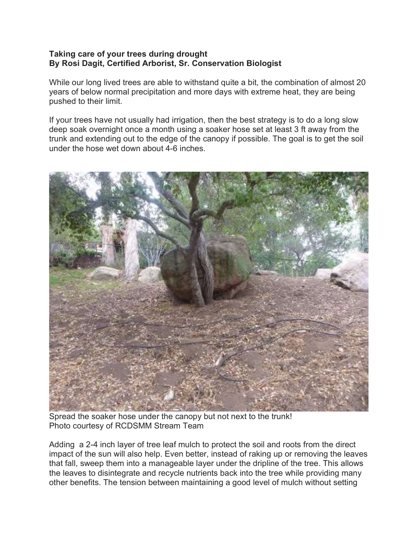## Taking care of your trees during drought By Rosi Dagit, Certified Arborist, Sr. Conservation Biologist

While our long lived trees are able to withstand quite a bit, the combination of almost 20 years of below normal precipitation and more days with extreme heat, they are being pushed to their limit.

If your trees have not usually had irrigation, then the best strategy is to do a long slow deep soak overnight once a month using a soaker hose set at least 3 ft away from the trunk and extending out to the edge of the canopy if possible. The goal is to get the soil under the hose wet down about 4-6 inches.



Spread the soaker hose under the canopy but not next to the trunk! Photo courtesy of RCDSMM Stream Team

Adding a 2-4 inch layer of tree leaf mulch to protect the soil and roots from the direct impact of the sun will also help. Even better, instead of raking up or removing the leaves that fall, sweep them into a manageable layer under the dripline of the tree. This allows the leaves to disintegrate and recycle nutrients back into the tree while providing many other benefits. The tension between maintaining a good level of mulch without setting